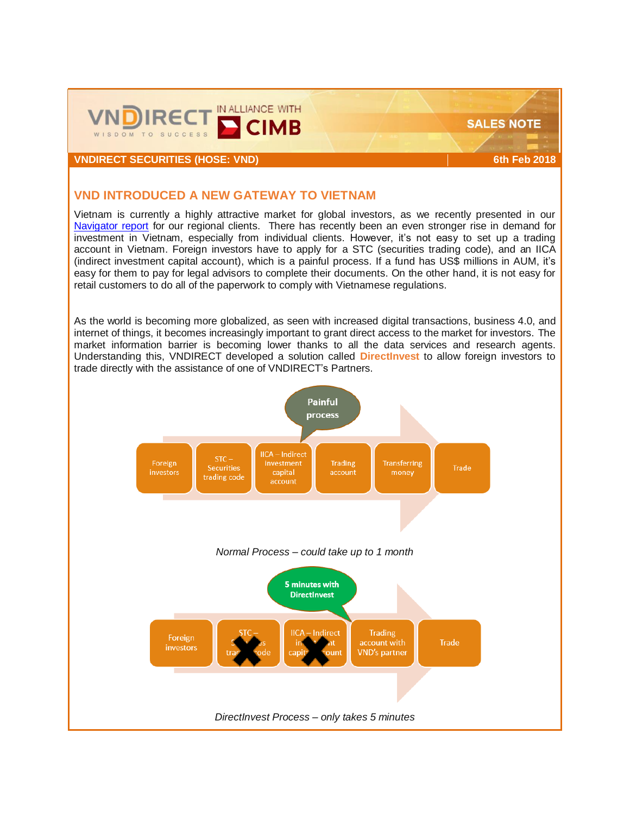

## **VNDIRECT SECURITIES (HOSE: VND) 6th Feb 2018**

## **VND INTRODUCED A NEW GATEWAY TO VIETNAM**

Vietnam is currently a highly attractive market for global investors, as we recently presented in our [Navigator](https://static-02.vndirect.com.vn/uploads/prod/2018_Navigating_Vietnam.pdf) report for our regional clients. There has recently been an even stronger rise in demand for investment in Vietnam, especially from individual clients. However, it's not easy to set up a trading account in Vietnam. Foreign investors have to apply for a STC (securities trading code), and an IICA (indirect investment capital account), which is a painful process. If a fund has US\$ millions in AUM, it's easy for them to pay for legal advisors to complete their documents. On the other hand, it is not easy for retail customers to do all of the paperwork to comply with Vietnamese regulations.

**SALES NOTE** 

As the world is becoming more globalized, as seen with increased digital transactions, business 4.0, and internet of things, it becomes increasingly important to grant direct access to the market for investors. The market information barrier is becoming lower thanks to all the data services and research agents. Understanding this, VNDIRECT developed a solution called **DirectInvest** to allow foreign investors to trade directly with the assistance of one of VNDIRECT's Partners.

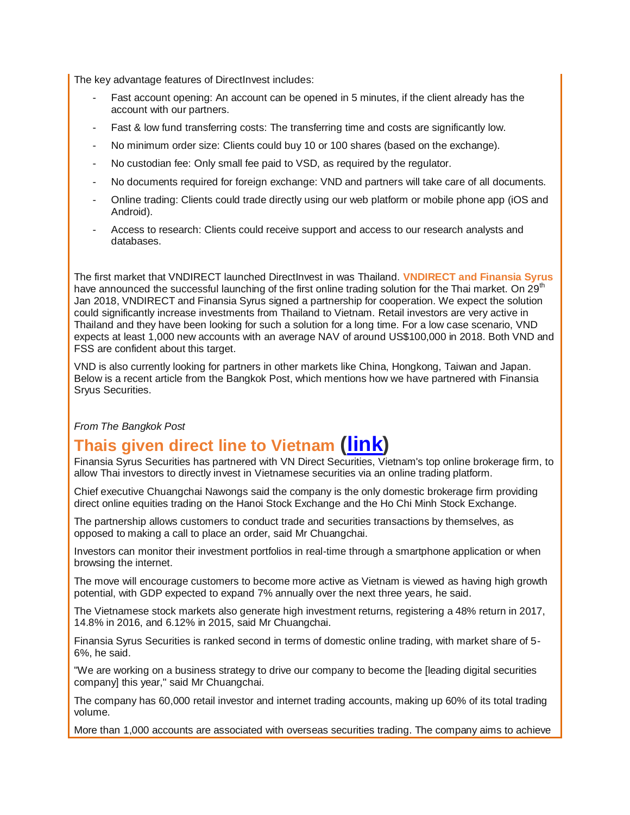The key advantage features of DirectInvest includes:

- Fast account opening: An account can be opened in 5 minutes, if the client already has the account with our partners.
- Fast & low fund transferring costs: The transferring time and costs are significantly low.
- No minimum order size: Clients could buy 10 or 100 shares (based on the exchange).
- No custodian fee: Only small fee paid to VSD, as required by the regulator.
- No documents required for foreign exchange: VND and partners will take care of all documents.
- Online trading: Clients could trade directly using our web platform or mobile phone app (iOS and Android).
- Access to research: Clients could receive support and access to our research analysts and databases.

The first market that VNDIRECT launched DirectInvest in was Thailand. **VNDIRECT and Finansia Syrus** have announced the successful launching of the first online trading solution for the Thai market. On 29<sup>th</sup> Jan 2018, VNDIRECT and Finansia Syrus signed a partnership for cooperation. We expect the solution could significantly increase investments from Thailand to Vietnam. Retail investors are very active in Thailand and they have been looking for such a solution for a long time. For a low case scenario, VND expects at least 1,000 new accounts with an average NAV of around US\$100,000 in 2018. Both VND and FSS are confident about this target.

VND is also currently looking for partners in other markets like China, Hongkong, Taiwan and Japan. Below is a recent article from the Bangkok Post, which mentions how we have partnered with Finansia Sryus Securities.

## *From The Bangkok Post*

## **Thais given direct line to Vietnam [\(link\)](https://www.bangkokpost.com/business/news/1404122/thais-given-direct-line-to-vietnam)**

Finansia Syrus Securities has partnered with VN Direct Securities, Vietnam's top online brokerage firm, to allow Thai investors to directly invest in Vietnamese securities via an online trading platform.

Chief executive Chuangchai Nawongs said the company is the only domestic brokerage firm providing direct online equities trading on the Hanoi Stock Exchange and the Ho Chi Minh Stock Exchange.

The partnership allows customers to conduct trade and securities transactions by themselves, as opposed to making a call to place an order, said Mr Chuangchai.

Investors can monitor their investment portfolios in real-time through a smartphone application or when browsing the internet.

The move will encourage customers to become more active as Vietnam is viewed as having high growth potential, with GDP expected to expand 7% annually over the next three years, he said.

The Vietnamese stock markets also generate high investment returns, registering a 48% return in 2017, 14.8% in 2016, and 6.12% in 2015, said Mr Chuangchai.

Finansia Syrus Securities is ranked second in terms of domestic online trading, with market share of 5- 6%, he said.

"We are working on a business strategy to drive our company to become the [leading digital securities company] this year," said Mr Chuangchai.

The company has 60,000 retail investor and internet trading accounts, making up 60% of its total trading volume.

More than 1,000 accounts are associated with overseas securities trading. The company aims to achieve